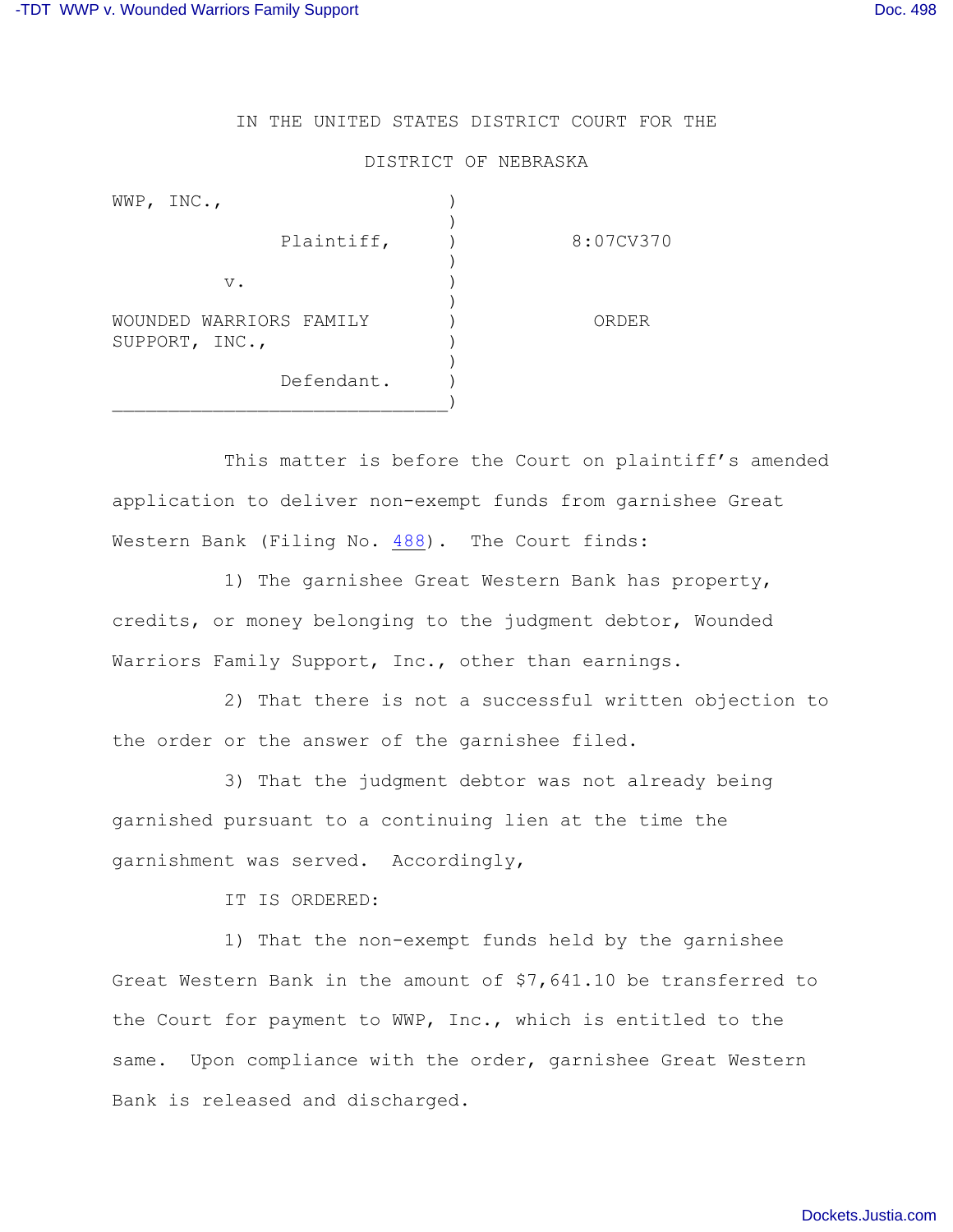## IN THE UNITED STATES DISTRICT COURT FOR THE

## DISTRICT OF NEBRASKA

| WWP, $INC.,$                              |            |           |
|-------------------------------------------|------------|-----------|
|                                           | Plaintiff, | 8:07CV370 |
| $V$ .                                     |            |           |
| WOUNDED WARRIORS FAMILY<br>SUPPORT, INC., |            | ORDER     |
|                                           | Defendant. |           |

This matter is before the Court on plaintiff's amended application to deliver non-exempt funds from garnishee Great Western Bank (Filing No. [488](http://ecf.ned.uscourts.gov/doc1/11302330942)). The Court finds:

1) The garnishee Great Western Bank has property, credits, or money belonging to the judgment debtor, Wounded Warriors Family Support, Inc., other than earnings.

2) That there is not a successful written objection to the order or the answer of the garnishee filed.

3) That the judgment debtor was not already being garnished pursuant to a continuing lien at the time the garnishment was served. Accordingly,

IT IS ORDERED:

1) That the non-exempt funds held by the garnishee Great Western Bank in the amount of \$7,641.10 be transferred to the Court for payment to WWP, Inc., which is entitled to the same. Upon compliance with the order, garnishee Great Western Bank is released and discharged.